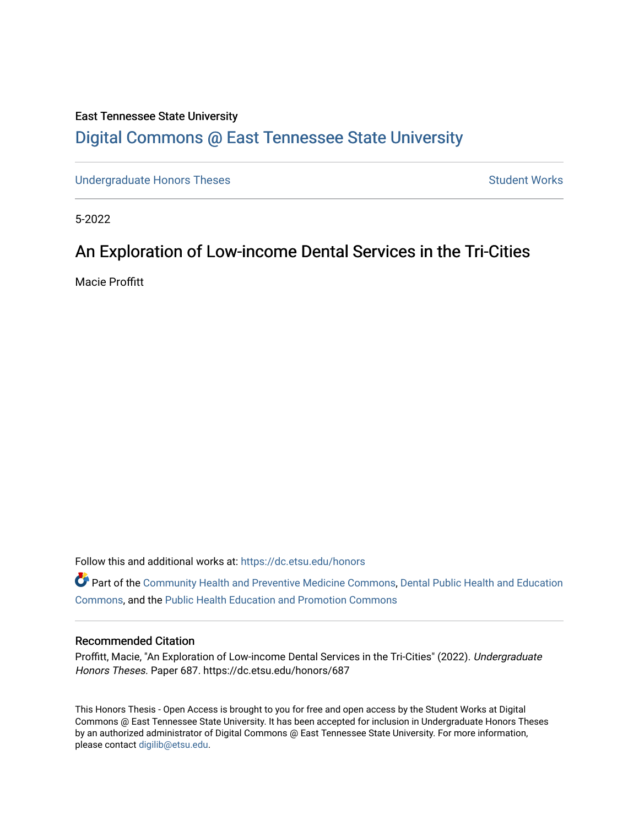## East Tennessee State University [Digital Commons @ East Tennessee State University](https://dc.etsu.edu/)

[Undergraduate Honors Theses](https://dc.etsu.edu/honors) Student Works

5-2022

# An Exploration of Low-income Dental Services in the Tri-Cities

Macie Proffitt

Follow this and additional works at: [https://dc.etsu.edu/honors](https://dc.etsu.edu/honors?utm_source=dc.etsu.edu%2Fhonors%2F687&utm_medium=PDF&utm_campaign=PDFCoverPages)

Part of the [Community Health and Preventive Medicine Commons](http://network.bepress.com/hgg/discipline/744?utm_source=dc.etsu.edu%2Fhonors%2F687&utm_medium=PDF&utm_campaign=PDFCoverPages), [Dental Public Health and Education](http://network.bepress.com/hgg/discipline/653?utm_source=dc.etsu.edu%2Fhonors%2F687&utm_medium=PDF&utm_campaign=PDFCoverPages)  [Commons](http://network.bepress.com/hgg/discipline/653?utm_source=dc.etsu.edu%2Fhonors%2F687&utm_medium=PDF&utm_campaign=PDFCoverPages), and the [Public Health Education and Promotion Commons](http://network.bepress.com/hgg/discipline/743?utm_source=dc.etsu.edu%2Fhonors%2F687&utm_medium=PDF&utm_campaign=PDFCoverPages) 

#### Recommended Citation

Proffitt, Macie, "An Exploration of Low-income Dental Services in the Tri-Cities" (2022). Undergraduate Honors Theses. Paper 687. https://dc.etsu.edu/honors/687

This Honors Thesis - Open Access is brought to you for free and open access by the Student Works at Digital Commons @ East Tennessee State University. It has been accepted for inclusion in Undergraduate Honors Theses by an authorized administrator of Digital Commons @ East Tennessee State University. For more information, please contact [digilib@etsu.edu.](mailto:digilib@etsu.edu)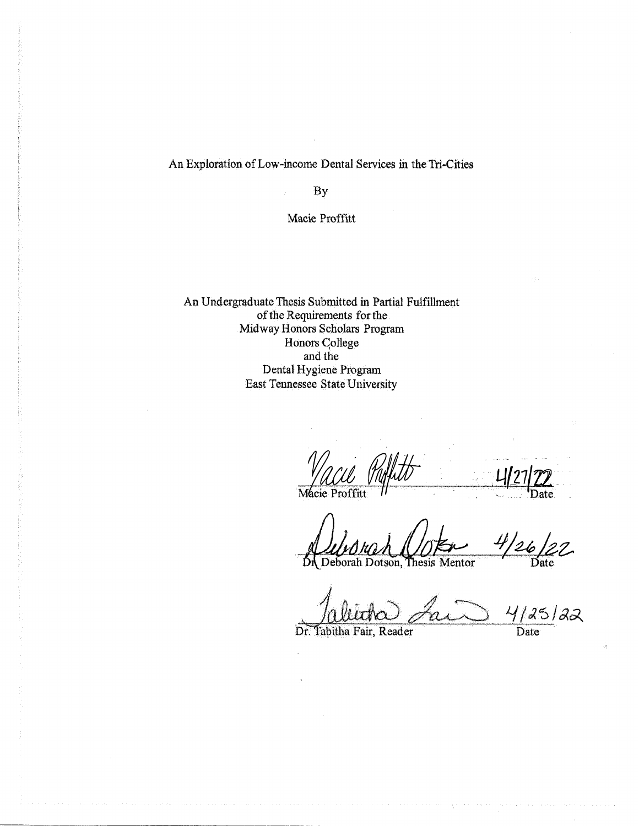## An Exploration of Low-income Dental Services in the Tri-Cities

By

#### Macie Proffitt

An Undergraduate Thesis Submitted in Partial Fulfillment of the Requirements for the Midway Honors Scholars Program Honors College and the Dental Hygiene Program East Tennessee State University

Mácie Proffitt

 $22$ 2 Deborah Dotson, Thesis Mentor Date

4/25/22

Dr. Tabitha Fair, Reader

Date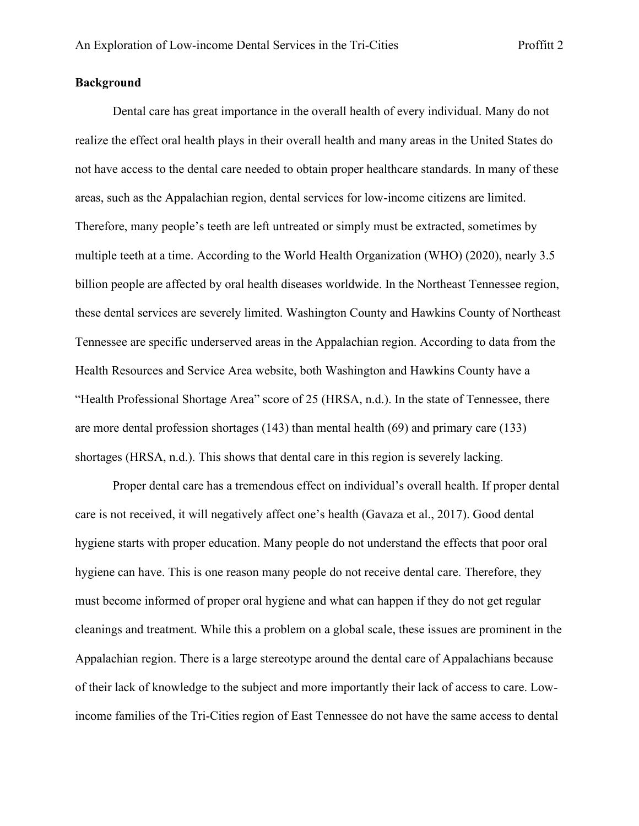## **Background**

Dental care has great importance in the overall health of every individual. Many do not realize the effect oral health plays in their overall health and many areas in the United States do not have access to the dental care needed to obtain proper healthcare standards. In many of these areas, such as the Appalachian region, dental services for low-income citizens are limited. Therefore, many people's teeth are left untreated or simply must be extracted, sometimes by multiple teeth at a time. According to the World Health Organization (WHO) (2020), nearly 3.5 billion people are affected by oral health diseases worldwide. In the Northeast Tennessee region, these dental services are severely limited. Washington County and Hawkins County of Northeast Tennessee are specific underserved areas in the Appalachian region. According to data from the Health Resources and Service Area website, both Washington and Hawkins County have a "Health Professional Shortage Area" score of 25 (HRSA, n.d.). In the state of Tennessee, there are more dental profession shortages (143) than mental health (69) and primary care (133) shortages (HRSA, n.d.). This shows that dental care in this region is severely lacking.

Proper dental care has a tremendous effect on individual's overall health. If proper dental care is not received, it will negatively affect one's health (Gavaza et al., 2017). Good dental hygiene starts with proper education. Many people do not understand the effects that poor oral hygiene can have. This is one reason many people do not receive dental care. Therefore, they must become informed of proper oral hygiene and what can happen if they do not get regular cleanings and treatment. While this a problem on a global scale, these issues are prominent in the Appalachian region. There is a large stereotype around the dental care of Appalachians because of their lack of knowledge to the subject and more importantly their lack of access to care. Lowincome families of the Tri-Cities region of East Tennessee do not have the same access to dental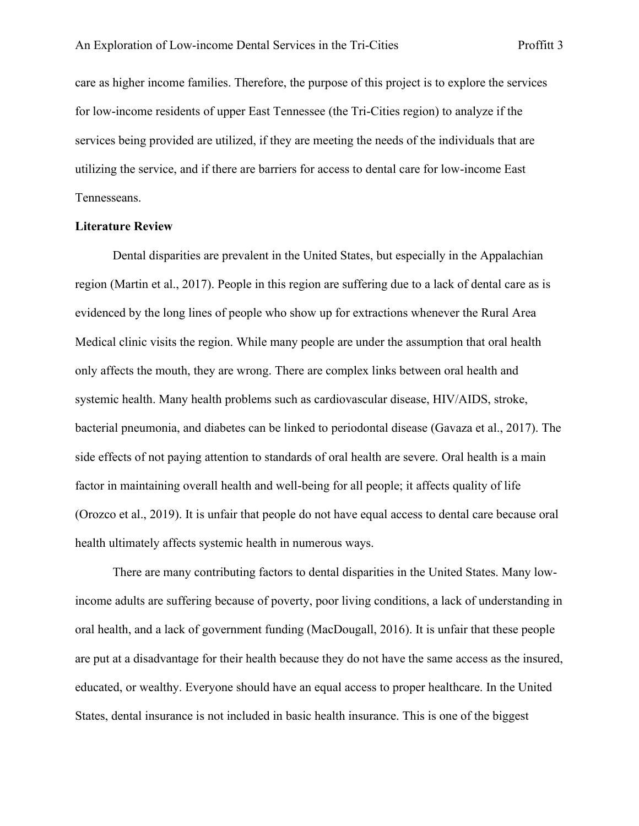care as higher income families. Therefore, the purpose of this project is to explore the services for low-income residents of upper East Tennessee (the Tri-Cities region) to analyze if the services being provided are utilized, if they are meeting the needs of the individuals that are utilizing the service, and if there are barriers for access to dental care for low-income East Tennesseans.

#### **Literature Review**

Dental disparities are prevalent in the United States, but especially in the Appalachian region (Martin et al., 2017). People in this region are suffering due to a lack of dental care as is evidenced by the long lines of people who show up for extractions whenever the Rural Area Medical clinic visits the region. While many people are under the assumption that oral health only affects the mouth, they are wrong. There are complex links between oral health and systemic health. Many health problems such as cardiovascular disease, HIV/AIDS, stroke, bacterial pneumonia, and diabetes can be linked to periodontal disease (Gavaza et al., 2017). The side effects of not paying attention to standards of oral health are severe. Oral health is a main factor in maintaining overall health and well-being for all people; it affects quality of life (Orozco et al., 2019). It is unfair that people do not have equal access to dental care because oral health ultimately affects systemic health in numerous ways.

There are many contributing factors to dental disparities in the United States. Many lowincome adults are suffering because of poverty, poor living conditions, a lack of understanding in oral health, and a lack of government funding (MacDougall, 2016). It is unfair that these people are put at a disadvantage for their health because they do not have the same access as the insured, educated, or wealthy. Everyone should have an equal access to proper healthcare. In the United States, dental insurance is not included in basic health insurance. This is one of the biggest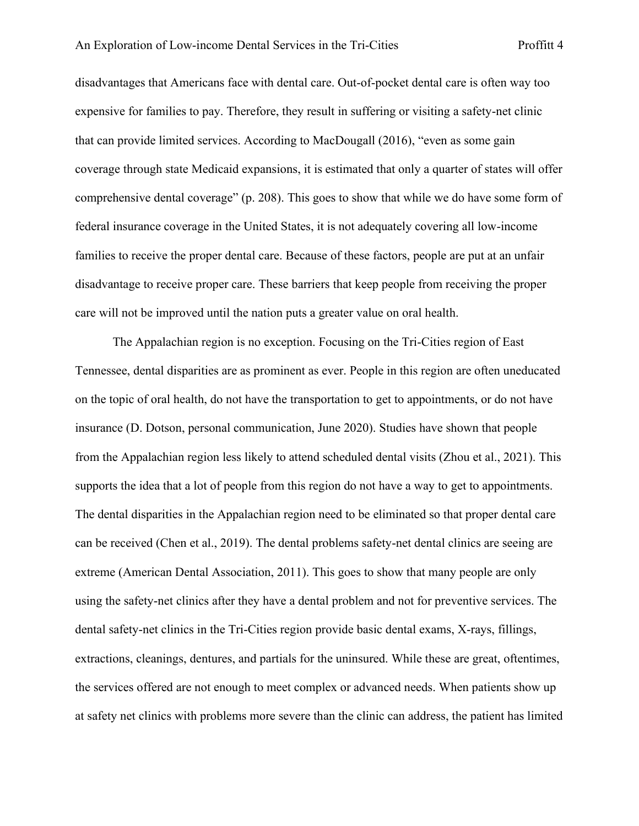disadvantages that Americans face with dental care. Out-of-pocket dental care is often way too expensive for families to pay. Therefore, they result in suffering or visiting a safety-net clinic that can provide limited services. According to MacDougall (2016), "even as some gain coverage through state Medicaid expansions, it is estimated that only a quarter of states will offer comprehensive dental coverage" (p. 208). This goes to show that while we do have some form of federal insurance coverage in the United States, it is not adequately covering all low-income families to receive the proper dental care. Because of these factors, people are put at an unfair disadvantage to receive proper care. These barriers that keep people from receiving the proper care will not be improved until the nation puts a greater value on oral health.

The Appalachian region is no exception. Focusing on the Tri-Cities region of East Tennessee, dental disparities are as prominent as ever. People in this region are often uneducated on the topic of oral health, do not have the transportation to get to appointments, or do not have insurance (D. Dotson, personal communication, June 2020). Studies have shown that people from the Appalachian region less likely to attend scheduled dental visits (Zhou et al., 2021). This supports the idea that a lot of people from this region do not have a way to get to appointments. The dental disparities in the Appalachian region need to be eliminated so that proper dental care can be received (Chen et al., 2019). The dental problems safety-net dental clinics are seeing are extreme (American Dental Association, 2011). This goes to show that many people are only using the safety-net clinics after they have a dental problem and not for preventive services. The dental safety-net clinics in the Tri-Cities region provide basic dental exams, X-rays, fillings, extractions, cleanings, dentures, and partials for the uninsured. While these are great, oftentimes, the services offered are not enough to meet complex or advanced needs. When patients show up at safety net clinics with problems more severe than the clinic can address, the patient has limited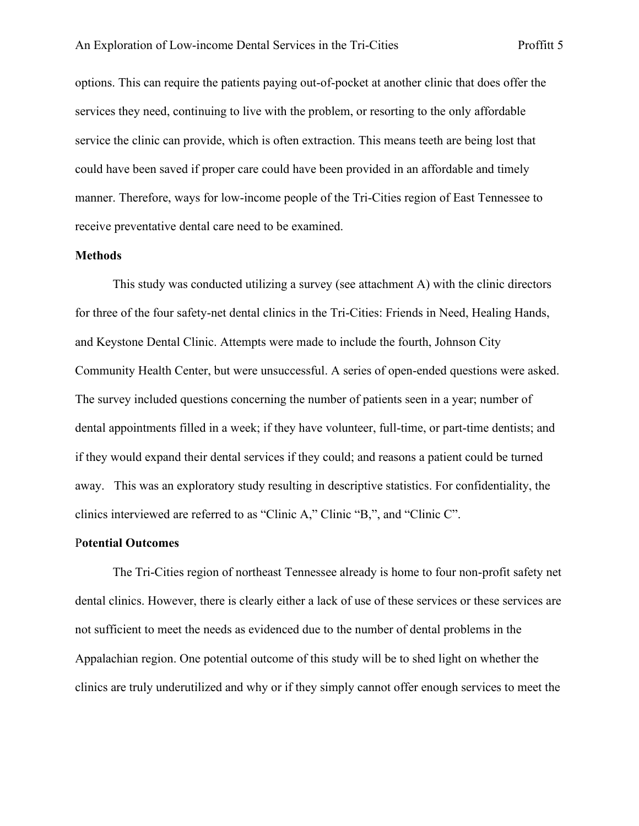options. This can require the patients paying out-of-pocket at another clinic that does offer the services they need, continuing to live with the problem, or resorting to the only affordable service the clinic can provide, which is often extraction. This means teeth are being lost that could have been saved if proper care could have been provided in an affordable and timely manner. Therefore, ways for low-income people of the Tri-Cities region of East Tennessee to receive preventative dental care need to be examined.

#### **Methods**

This study was conducted utilizing a survey (see attachment A) with the clinic directors for three of the four safety-net dental clinics in the Tri-Cities: Friends in Need, Healing Hands, and Keystone Dental Clinic. Attempts were made to include the fourth, Johnson City Community Health Center, but were unsuccessful. A series of open-ended questions were asked. The survey included questions concerning the number of patients seen in a year; number of dental appointments filled in a week; if they have volunteer, full-time, or part-time dentists; and if they would expand their dental services if they could; and reasons a patient could be turned away. This was an exploratory study resulting in descriptive statistics. For confidentiality, the clinics interviewed are referred to as "Clinic A," Clinic "B,", and "Clinic C".

#### P**otential Outcomes**

The Tri-Cities region of northeast Tennessee already is home to four non-profit safety net dental clinics. However, there is clearly either a lack of use of these services or these services are not sufficient to meet the needs as evidenced due to the number of dental problems in the Appalachian region. One potential outcome of this study will be to shed light on whether the clinics are truly underutilized and why or if they simply cannot offer enough services to meet the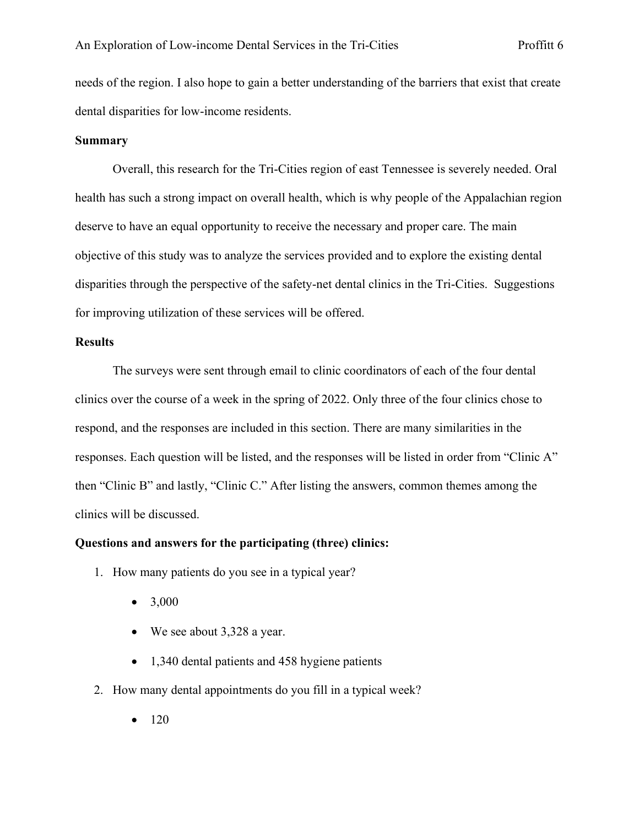needs of the region. I also hope to gain a better understanding of the barriers that exist that create dental disparities for low-income residents.

#### **Summary**

Overall, this research for the Tri-Cities region of east Tennessee is severely needed. Oral health has such a strong impact on overall health, which is why people of the Appalachian region deserve to have an equal opportunity to receive the necessary and proper care. The main objective of this study was to analyze the services provided and to explore the existing dental disparities through the perspective of the safety-net dental clinics in the Tri-Cities. Suggestions for improving utilization of these services will be offered.

## **Results**

The surveys were sent through email to clinic coordinators of each of the four dental clinics over the course of a week in the spring of 2022. Only three of the four clinics chose to respond, and the responses are included in this section. There are many similarities in the responses. Each question will be listed, and the responses will be listed in order from "Clinic A" then "Clinic B" and lastly, "Clinic C." After listing the answers, common themes among the clinics will be discussed.

#### **Questions and answers for the participating (three) clinics:**

- 1. How many patients do you see in a typical year?
	- $3,000$
	- We see about 3,328 a year.
	- 1,340 dental patients and 458 hygiene patients
- 2. How many dental appointments do you fill in a typical week?
	- $120$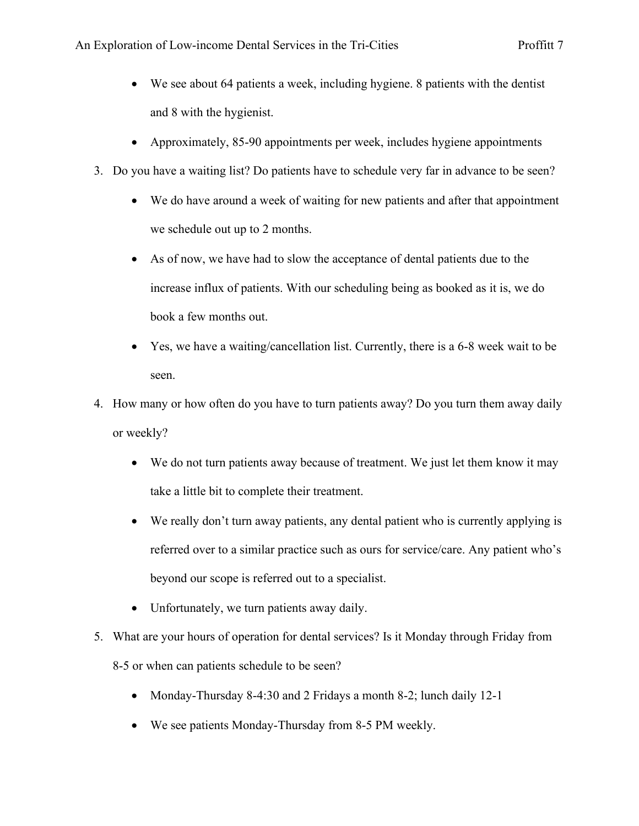- We see about 64 patients a week, including hygiene. 8 patients with the dentist and 8 with the hygienist.
- Approximately, 85-90 appointments per week, includes hygiene appointments
- 3. Do you have a waiting list? Do patients have to schedule very far in advance to be seen?
	- We do have around a week of waiting for new patients and after that appointment we schedule out up to 2 months.
	- As of now, we have had to slow the acceptance of dental patients due to the increase influx of patients. With our scheduling being as booked as it is, we do book a few months out.
	- Yes, we have a waiting/cancellation list. Currently, there is a 6-8 week wait to be seen.
- 4. How many or how often do you have to turn patients away? Do you turn them away daily or weekly?
	- We do not turn patients away because of treatment. We just let them know it may take a little bit to complete their treatment.
	- We really don't turn away patients, any dental patient who is currently applying is referred over to a similar practice such as ours for service/care. Any patient who's beyond our scope is referred out to a specialist.
	- Unfortunately, we turn patients away daily.
- 5. What are your hours of operation for dental services? Is it Monday through Friday from 8-5 or when can patients schedule to be seen?
	- Monday-Thursday 8-4:30 and 2 Fridays a month 8-2; lunch daily 12-1
	- We see patients Monday-Thursday from 8-5 PM weekly.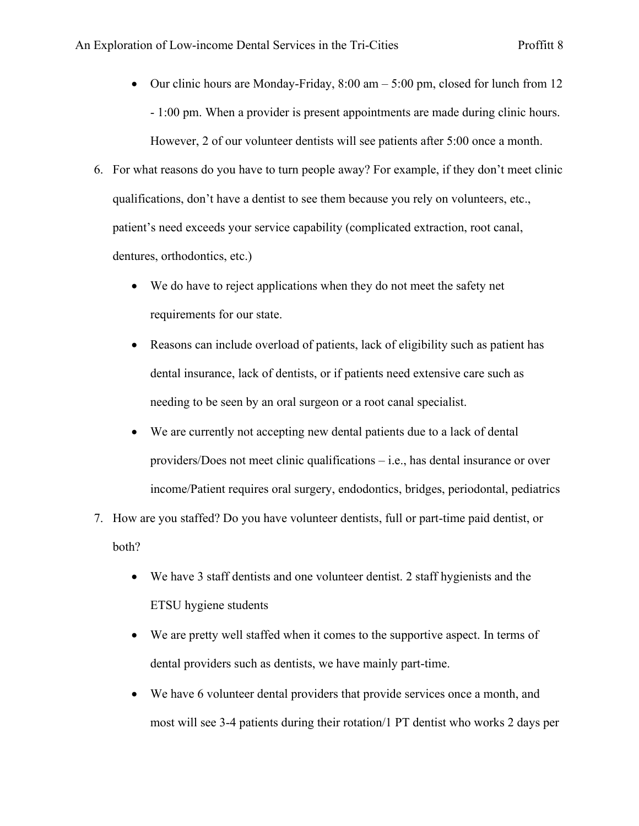- Our clinic hours are Monday-Friday,  $8:00 \text{ am} 5:00 \text{ pm}$ , closed for lunch from 12 - 1:00 pm. When a provider is present appointments are made during clinic hours. However, 2 of our volunteer dentists will see patients after 5:00 once a month.
- 6. For what reasons do you have to turn people away? For example, if they don't meet clinic qualifications, don't have a dentist to see them because you rely on volunteers, etc., patient's need exceeds your service capability (complicated extraction, root canal, dentures, orthodontics, etc.)
	- We do have to reject applications when they do not meet the safety net requirements for our state.
	- Reasons can include overload of patients, lack of eligibility such as patient has dental insurance, lack of dentists, or if patients need extensive care such as needing to be seen by an oral surgeon or a root canal specialist.
	- We are currently not accepting new dental patients due to a lack of dental providers/Does not meet clinic qualifications – i.e., has dental insurance or over income/Patient requires oral surgery, endodontics, bridges, periodontal, pediatrics
- 7. How are you staffed? Do you have volunteer dentists, full or part-time paid dentist, or both?
	- We have 3 staff dentists and one volunteer dentist. 2 staff hygienists and the ETSU hygiene students
	- We are pretty well staffed when it comes to the supportive aspect. In terms of dental providers such as dentists, we have mainly part-time.
	- We have 6 volunteer dental providers that provide services once a month, and most will see 3-4 patients during their rotation/1 PT dentist who works 2 days per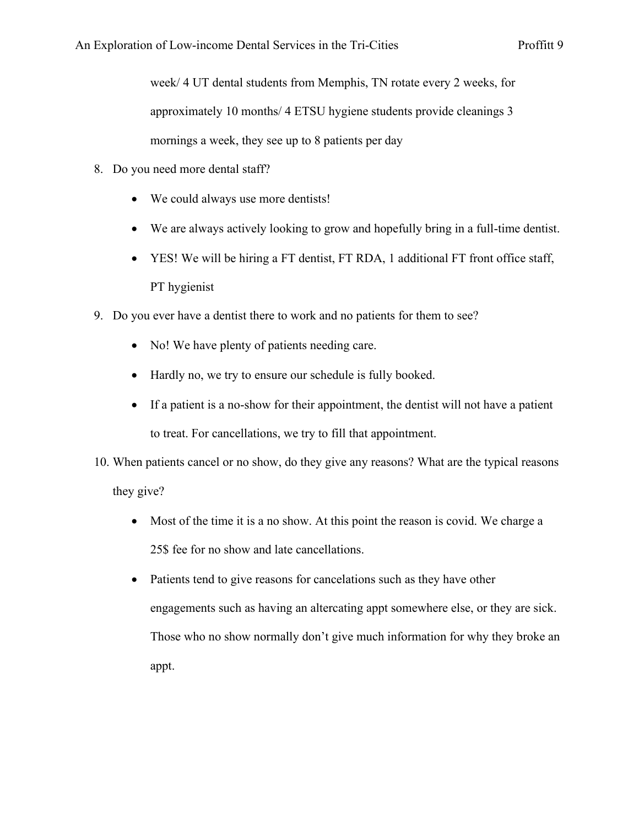week/ 4 UT dental students from Memphis, TN rotate every 2 weeks, for approximately 10 months/ 4 ETSU hygiene students provide cleanings 3 mornings a week, they see up to 8 patients per day

- 8. Do you need more dental staff?
	- We could always use more dentists!
	- We are always actively looking to grow and hopefully bring in a full-time dentist.
	- YES! We will be hiring a FT dentist, FT RDA, 1 additional FT front office staff, PT hygienist
- 9. Do you ever have a dentist there to work and no patients for them to see?
	- No! We have plenty of patients needing care.
	- Hardly no, we try to ensure our schedule is fully booked.
	- If a patient is a no-show for their appointment, the dentist will not have a patient to treat. For cancellations, we try to fill that appointment.
- 10. When patients cancel or no show, do they give any reasons? What are the typical reasons they give?
	- Most of the time it is a no show. At this point the reason is covid. We charge a 25\$ fee for no show and late cancellations.
	- Patients tend to give reasons for cancelations such as they have other engagements such as having an altercating appt somewhere else, or they are sick. Those who no show normally don't give much information for why they broke an appt.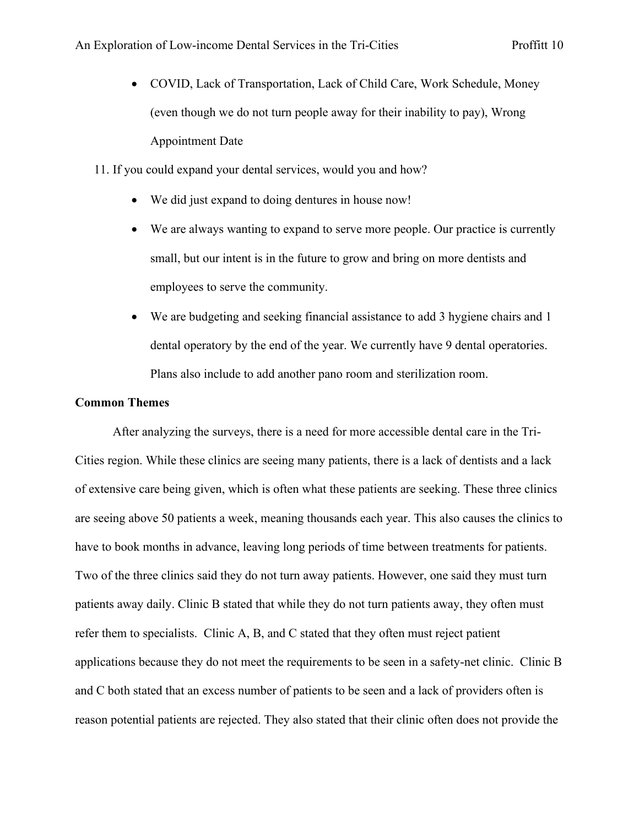- COVID, Lack of Transportation, Lack of Child Care, Work Schedule, Money (even though we do not turn people away for their inability to pay), Wrong Appointment Date
- 11. If you could expand your dental services, would you and how?
	- We did just expand to doing dentures in house now!
	- We are always wanting to expand to serve more people. Our practice is currently small, but our intent is in the future to grow and bring on more dentists and employees to serve the community.
	- We are budgeting and seeking financial assistance to add 3 hygiene chairs and 1 dental operatory by the end of the year. We currently have 9 dental operatories. Plans also include to add another pano room and sterilization room.

#### **Common Themes**

After analyzing the surveys, there is a need for more accessible dental care in the Tri-Cities region. While these clinics are seeing many patients, there is a lack of dentists and a lack of extensive care being given, which is often what these patients are seeking. These three clinics are seeing above 50 patients a week, meaning thousands each year. This also causes the clinics to have to book months in advance, leaving long periods of time between treatments for patients. Two of the three clinics said they do not turn away patients. However, one said they must turn patients away daily. Clinic B stated that while they do not turn patients away, they often must refer them to specialists. Clinic A, B, and C stated that they often must reject patient applications because they do not meet the requirements to be seen in a safety-net clinic. Clinic B and C both stated that an excess number of patients to be seen and a lack of providers often is reason potential patients are rejected. They also stated that their clinic often does not provide the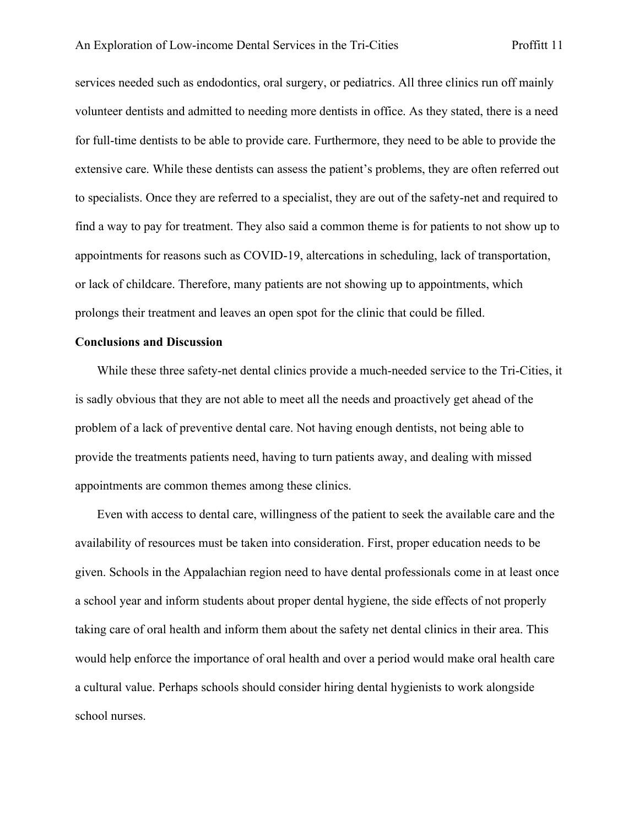services needed such as endodontics, oral surgery, or pediatrics. All three clinics run off mainly volunteer dentists and admitted to needing more dentists in office. As they stated, there is a need for full-time dentists to be able to provide care. Furthermore, they need to be able to provide the extensive care. While these dentists can assess the patient's problems, they are often referred out to specialists. Once they are referred to a specialist, they are out of the safety-net and required to find a way to pay for treatment. They also said a common theme is for patients to not show up to appointments for reasons such as COVID-19, altercations in scheduling, lack of transportation, or lack of childcare. Therefore, many patients are not showing up to appointments, which prolongs their treatment and leaves an open spot for the clinic that could be filled.

#### **Conclusions and Discussion**

While these three safety-net dental clinics provide a much-needed service to the Tri-Cities, it is sadly obvious that they are not able to meet all the needs and proactively get ahead of the problem of a lack of preventive dental care. Not having enough dentists, not being able to provide the treatments patients need, having to turn patients away, and dealing with missed appointments are common themes among these clinics.

 Even with access to dental care, willingness of the patient to seek the available care and the availability of resources must be taken into consideration. First, proper education needs to be given. Schools in the Appalachian region need to have dental professionals come in at least once a school year and inform students about proper dental hygiene, the side effects of not properly taking care of oral health and inform them about the safety net dental clinics in their area. This would help enforce the importance of oral health and over a period would make oral health care a cultural value. Perhaps schools should consider hiring dental hygienists to work alongside school nurses.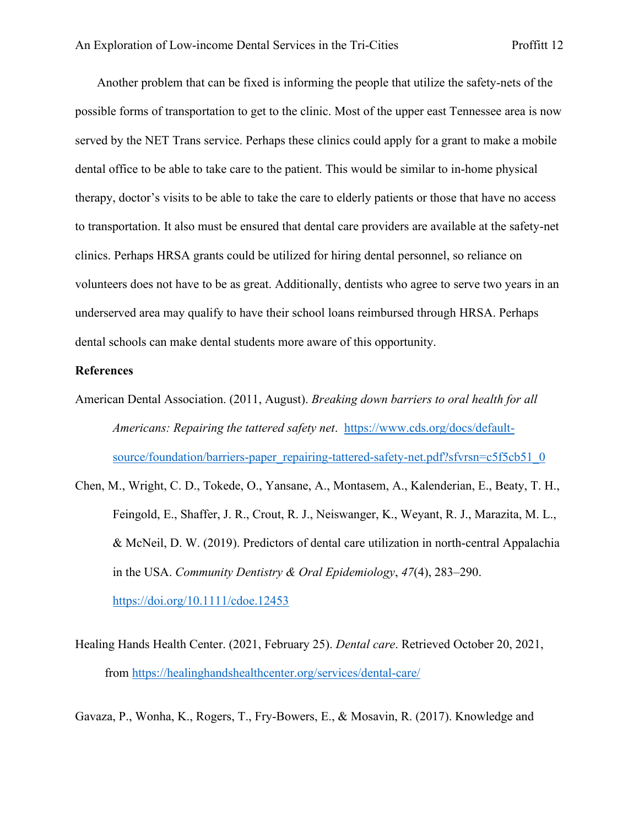Another problem that can be fixed is informing the people that utilize the safety-nets of the possible forms of transportation to get to the clinic. Most of the upper east Tennessee area is now served by the NET Trans service. Perhaps these clinics could apply for a grant to make a mobile dental office to be able to take care to the patient. This would be similar to in-home physical therapy, doctor's visits to be able to take the care to elderly patients or those that have no access to transportation. It also must be ensured that dental care providers are available at the safety-net clinics. Perhaps HRSA grants could be utilized for hiring dental personnel, so reliance on volunteers does not have to be as great. Additionally, dentists who agree to serve two years in an underserved area may qualify to have their school loans reimbursed through HRSA. Perhaps dental schools can make dental students more aware of this opportunity.

#### **References**

- American Dental Association. (2011, August). *Breaking down barriers to oral health for all Americans: Repairing the tattered safety net*. [https://www.cds.org/docs/default](https://www.cds.org/docs/default-source/foundation/barriers-paper_repairing-tattered-safety-net.pdf?sfvrsn=c5f5cb51_0)[source/foundation/barriers-paper\\_repairing-tattered-safety-net.pdf?sfvrsn=c5f5cb51\\_0](https://www.cds.org/docs/default-source/foundation/barriers-paper_repairing-tattered-safety-net.pdf?sfvrsn=c5f5cb51_0)
- Chen, M., Wright, C. D., Tokede, O., Yansane, A., Montasem, A., Kalenderian, E., Beaty, T. H., Feingold, E., Shaffer, J. R., Crout, R. J., Neiswanger, K., Weyant, R. J., Marazita, M. L., & McNeil, D. W. (2019). Predictors of dental care utilization in north‐central Appalachia in the USA. *Community Dentistry & Oral Epidemiology*, *47*(4), 283–290. <https://doi.org/10.1111/cdoe.12453>
- Healing Hands Health Center. (2021, February 25). *Dental care*. Retrieved October 20, 2021, from<https://healinghandshealthcenter.org/services/dental-care/>
- Gavaza, P., Wonha, K., Rogers, T., Fry-Bowers, E., & Mosavin, R. (2017). Knowledge and